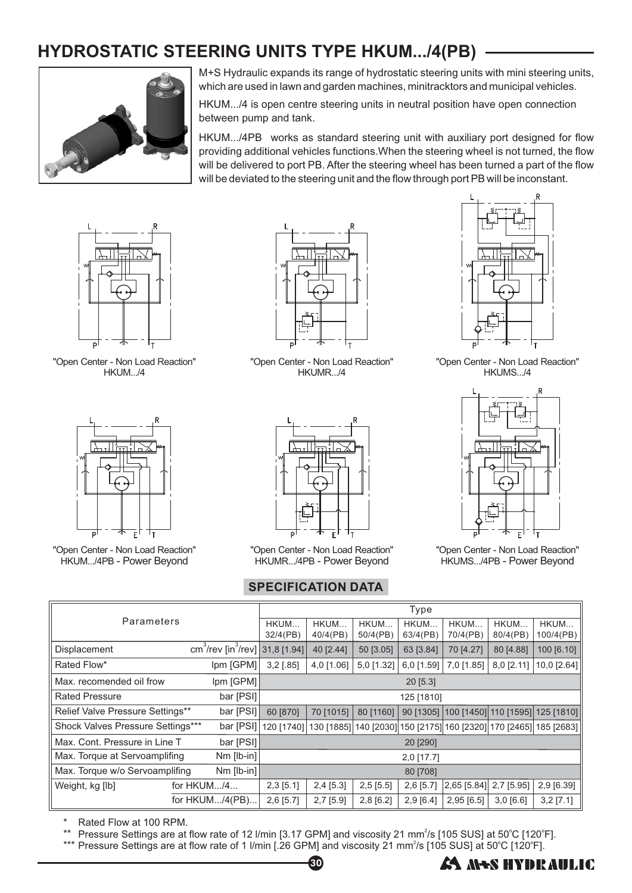## **HYDROSTATIC STEERING UNITS TYPE HKUM.../4(PB)**



M+S Hydraulic expands its range of hydrostatic steering units with mini steering units, which are used in lawn and garden machines, minitracktors and municipal vehicles.

HKUM.../4 is open centre steering units in neutral position have open connection between pump and tank.

HKUM.../4PB works as standard steering unit with auxiliary port designed for flow will be delivered to port PB. After the steering wheel has been turned a part of the flow will be deviated to the steering unit and the flow through port PB will be inconstant. providing additional vehicles functions.When the steering wheel is not turned, the flow



"Open Center - Non Load Reaction" HKUM.../4



"Open Center - Non Load Reaction" HKUM.../4PB - Power Beyond



"Open Center - Non Load Reaction" HKUMR.../4



"Open Center - Non Load Reaction" HKUMR.../4PB - Power Beyond

## **SPECIFICATION DATA**



"Open Center - Non Load Reaction" HKUMS.../4



"Open Center - Non Load Reaction" HKUMS.../4PB - Power Beyond

| Parameters                                     |  |                                                         | <b>Type</b>      |                  |                  |                                                            |                  |                  |                                                         |
|------------------------------------------------|--|---------------------------------------------------------|------------------|------------------|------------------|------------------------------------------------------------|------------------|------------------|---------------------------------------------------------|
|                                                |  |                                                         | HKUM<br>32/4(PB) | HKUM<br>40/4(PB) | HKUM<br>50/4(PB) | HKUM<br>63/4(PB)                                           | HKUM<br>70/4(PB) | HKUM<br>80/4(PB) | HKUM<br>100/4(PB)                                       |
| Displacement                                   |  | cm <sup>3</sup> /rev [in <sup>3</sup> /rev] 31,8 [1.94] |                  | 40 [2.44]        | 50 [3.05]        | 63 [3.84]                                                  | 70 [4.27]        | 80 [4.88]        | 100 [6.10]                                              |
| Rated Flow*<br>Ipm [GPM]                       |  | $3,2$ [.85]                                             | 4,0 [1.06]       | 5,0 [1.32]       | $6,0$ [1.59]     | 7,0 [1.85]                                                 | $8,0$ [2.11]     | $10,0$ [2.64]    |                                                         |
| Max. recomended oil frow<br>$ pm $ [GPM]       |  | 20 [5.3]                                                |                  |                  |                  |                                                            |                  |                  |                                                         |
| <b>Rated Pressure</b><br>bar [PSI]             |  | 125 [1810]                                              |                  |                  |                  |                                                            |                  |                  |                                                         |
| Relief Valve Pressure Settings**               |  | bar [PSI]                                               | 60 [870]         | 70 [1015]        | 80 [1160]        | 90 [1305]                                                  |                  |                  | 100 [1450] 110 [1595] 125 [1810]                        |
| Shock Valves Pressure Settings***              |  | bar [PSI]                                               | 120 [1740]       | 130 [1885]       |                  |                                                            |                  |                  | 140 [2030] 150 [2175] 160 [2320] 170 [2465]  185 [2683] |
| Max. Cont. Pressure in Line T<br>bar[PS1]      |  | 20 [290]                                                |                  |                  |                  |                                                            |                  |                  |                                                         |
| $Nm$ [lb-in]<br>Max. Torque at Servoamplifing  |  | $2,0$ [17.7]                                            |                  |                  |                  |                                                            |                  |                  |                                                         |
| Max. Torque w/o Servoamplifing<br>$Nm$ [lb-in] |  | 80 [708]                                                |                  |                  |                  |                                                            |                  |                  |                                                         |
| Weight, kg [lb]<br>for $HKUM/4$                |  | $2,3$ [5.1]                                             | $2,4$ [5.3]      | $2,5$ [5.5]      | $2,6$ [5.7]      | $\left  2,65 \right  5.84 \right] 2,7 \left[ 5.95 \right]$ |                  | 2,9 [6.39]       |                                                         |
| for HKUM/4(PB)                                 |  | $2,6$ [5.7]                                             | $2,7$ [5.9]      | $2,8$ [6.2]      | 2,9[6.4]         | $2,95$ [6.5]                                               | $3,0$ [6.6]      | $3,2$ [7.1]      |                                                         |

\* Rated Flow at 100 RPM.

\*\* Pressure Settings are at flow rate of 12 I/min [3.17 GPM] and viscosity 21 mm<sup>2</sup>/s [105 SUS] at 50°C [120°F].

\*\*\* Pressure Settings are at flow rate of 1 I/min [.26 GPM] and viscosity 21 mm<sup>2</sup>/s [105 SUS] at 50°C [120°F].